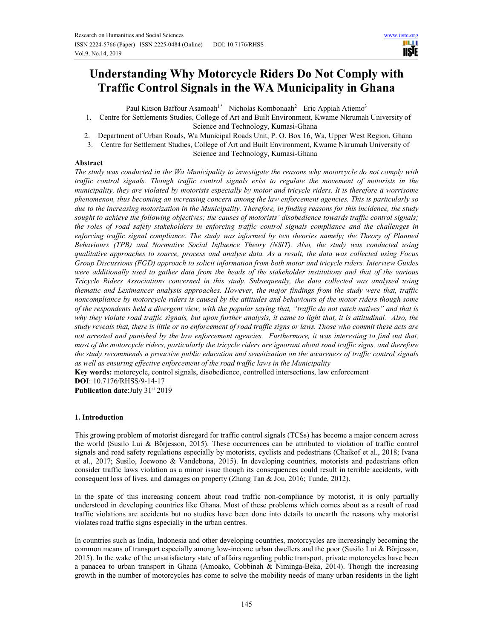# **Understanding Why Motorcycle Riders Do Not Comply with Traffic Control Signals in the WA Municipality in Ghana**

Paul Kitson Baffour Asamoah<sup>1\*</sup> Nicholas Kombonaah<sup>2</sup> Eric Appiah Atiemo<sup>3</sup>

- 1. Centre for Settlements Studies, College of Art and Built Environment, Kwame Nkrumah University of Science and Technology, Kumasi-Ghana
- 2. Department of Urban Roads, Wa Municipal Roads Unit, P. O. Box 16, Wa, Upper West Region, Ghana
- 3. Centre for Settlement Studies, College of Art and Built Environment, Kwame Nkrumah University of

Science and Technology, Kumasi-Ghana

# **Abstract**

*The study was conducted in the Wa Municipality to investigate the reasons why motorcycle do not comply with traffic control signals. Though traffic control signals exist to regulate the movement of motorists in the municipality, they are violated by motorists especially by motor and tricycle riders. It is therefore a worrisome phenomenon, thus becoming an increasing concern among the law enforcement agencies. This is particularly so due to the increasing motorization in the Municipality. Therefore, in finding reasons for this incidence, the study sought to achieve the following objectives; the causes of motorists' disobedience towards traffic control signals; the roles of road safety stakeholders in enforcing traffic control signals compliance and the challenges in enforcing traffic signal compliance. The study was informed by two theories namely; the Theory of Planned Behaviours (TPB) and Normative Social Influence Theory (NSIT). Also, the study was conducted using qualitative approaches to source, process and analyse data. As a result, the data was collected using Focus Group Discussions (FGD) approach to solicit information from both motor and tricycle riders. Interview Guides were additionally used to gather data from the heads of the stakeholder institutions and that of the various Tricycle Riders Associations concerned in this study. Subsequently, the data collected was analysed using thematic and Leximancer analysis approaches. However, the major findings from the study were that, traffic noncompliance by motorcycle riders is caused by the attitudes and behaviours of the motor riders though some of the respondents held a divergent view, with the popular saying that, "traffic do not catch natives" and that is why they violate road traffic signals, but upon further analysis, it came to light that, it is attitudinal. Also, the study reveals that, there is little or no enforcement of road traffic signs or laws. Those who commit these acts are not arrested and punished by the law enforcement agencies. Furthermore, it was interesting to find out that, most of the motorcycle riders, particularly the tricycle riders are ignorant about road traffic signs, and therefore the study recommends a proactive public education and sensitization on the awareness of traffic control signals as well as ensuring effective enforcement of the road traffic laws in the Municipality* 

**Key words:** motorcycle, control signals, disobedience, controlled intersections, law enforcement **DOI**: 10.7176/RHSS/9-14-17

**Publication date:**July 31st 2019

# **1. Introduction**

This growing problem of motorist disregard for traffic control signals (TCSs) has become a major concern across the world (Susilo Lui & Börjesson, 2015). These occurrences can be attributed to violation of traffic control signals and road safety regulations especially by motorists, cyclists and pedestrians (Chaikof et al., 2018; Ivana et al., 2017; Susilo, Joewono & Vandebona, 2015). In developing countries, motorists and pedestrians often consider traffic laws violation as a minor issue though its consequences could result in terrible accidents, with consequent loss of lives, and damages on property (Zhang Tan & Jou, 2016; Tunde, 2012).

In the spate of this increasing concern about road traffic non-compliance by motorist, it is only partially understood in developing countries like Ghana. Most of these problems which comes about as a result of road traffic violations are accidents but no studies have been done into details to unearth the reasons why motorist violates road traffic signs especially in the urban centres.

In countries such as India, Indonesia and other developing countries, motorcycles are increasingly becoming the common means of transport especially among low-income urban dwellers and the poor (Susilo Lui & Börjesson, 2015). In the wake of the unsatisfactory state of affairs regarding public transport, private motorcycles have been a panacea to urban transport in Ghana (Amoako, Cobbinah & Niminga-Beka, 2014). Though the increasing growth in the number of motorcycles has come to solve the mobility needs of many urban residents in the light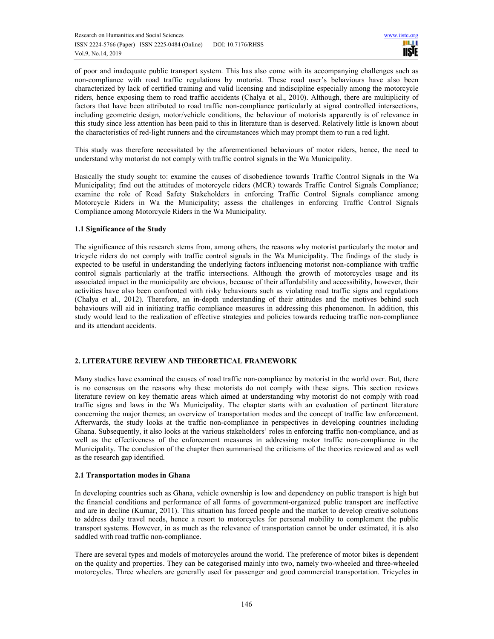of poor and inadequate public transport system. This has also come with its accompanying challenges such as non-compliance with road traffic regulations by motorist. These road user's behaviours have also been characterized by lack of certified training and valid licensing and indiscipline especially among the motorcycle riders, hence exposing them to road traffic accidents (Chalya et al., 2010). Although, there are multiplicity of factors that have been attributed to road traffic non-compliance particularly at signal controlled intersections, including geometric design, motor/vehicle conditions, the behaviour of motorists apparently is of relevance in this study since less attention has been paid to this in literature than is deserved. Relatively little is known about the characteristics of red-light runners and the circumstances which may prompt them to run a red light.

This study was therefore necessitated by the aforementioned behaviours of motor riders, hence, the need to understand why motorist do not comply with traffic control signals in the Wa Municipality.

Basically the study sought to: examine the causes of disobedience towards Traffic Control Signals in the Wa Municipality; find out the attitudes of motorcycle riders (MCR) towards Traffic Control Signals Compliance; examine the role of Road Safety Stakeholders in enforcing Traffic Control Signals compliance among Motorcycle Riders in Wa the Municipality; assess the challenges in enforcing Traffic Control Signals Compliance among Motorcycle Riders in the Wa Municipality.

### **1.1 Significance of the Study**

The significance of this research stems from, among others, the reasons why motorist particularly the motor and tricycle riders do not comply with traffic control signals in the Wa Municipality. The findings of the study is expected to be useful in understanding the underlying factors influencing motorist non-compliance with traffic control signals particularly at the traffic intersections. Although the growth of motorcycles usage and its associated impact in the municipality are obvious, because of their affordability and accessibility, however, their activities have also been confronted with risky behaviours such as violating road traffic signs and regulations (Chalya et al., 2012). Therefore, an in-depth understanding of their attitudes and the motives behind such behaviours will aid in initiating traffic compliance measures in addressing this phenomenon. In addition, this study would lead to the realization of effective strategies and policies towards reducing traffic non-compliance and its attendant accidents.

# **2. LITERATURE REVIEW AND THEORETICAL FRAMEWORK**

Many studies have examined the causes of road traffic non-compliance by motorist in the world over. But, there is no consensus on the reasons why these motorists do not comply with these signs. This section reviews literature review on key thematic areas which aimed at understanding why motorist do not comply with road traffic signs and laws in the Wa Municipality. The chapter starts with an evaluation of pertinent literature concerning the major themes; an overview of transportation modes and the concept of traffic law enforcement. Afterwards, the study looks at the traffic non-compliance in perspectives in developing countries including Ghana. Subsequently, it also looks at the various stakeholders' roles in enforcing traffic non-compliance, and as well as the effectiveness of the enforcement measures in addressing motor traffic non-compliance in the Municipality. The conclusion of the chapter then summarised the criticisms of the theories reviewed and as well as the research gap identified.

### **2.1 Transportation modes in Ghana**

In developing countries such as Ghana, vehicle ownership is low and dependency on public transport is high but the financial conditions and performance of all forms of government-organized public transport are ineffective and are in decline (Kumar, 2011). This situation has forced people and the market to develop creative solutions to address daily travel needs, hence a resort to motorcycles for personal mobility to complement the public transport systems. However, in as much as the relevance of transportation cannot be under estimated, it is also saddled with road traffic non-compliance.

There are several types and models of motorcycles around the world. The preference of motor bikes is dependent on the quality and properties. They can be categorised mainly into two, namely two-wheeled and three-wheeled motorcycles. Three wheelers are generally used for passenger and good commercial transportation. Tricycles in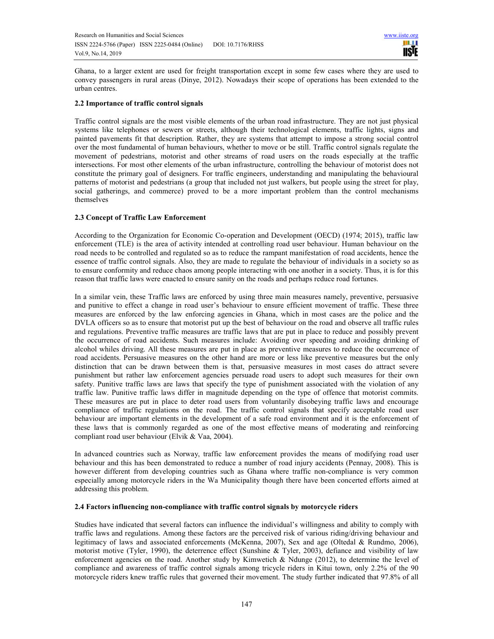Ghana, to a larger extent are used for freight transportation except in some few cases where they are used to convey passengers in rural areas (Dinye, 2012). Nowadays their scope of operations has been extended to the urban centres.

# **2.2 Importance of traffic control signals**

Traffic control signals are the most visible elements of the urban road infrastructure. They are not just physical systems like telephones or sewers or streets, although their technological elements, traffic lights, signs and painted pavements fit that description. Rather, they are systems that attempt to impose a strong social control over the most fundamental of human behaviours, whether to move or be still. Traffic control signals regulate the movement of pedestrians, motorist and other streams of road users on the roads especially at the traffic intersections. For most other elements of the urban infrastructure, controlling the behaviour of motorist does not constitute the primary goal of designers. For traffic engineers, understanding and manipulating the behavioural patterns of motorist and pedestrians (a group that included not just walkers, but people using the street for play, social gatherings, and commerce) proved to be a more important problem than the control mechanisms themselves

# **2.3 Concept of Traffic Law Enforcement**

According to the Organization for Economic Co-operation and Development (OECD) (1974; 2015), traffic law enforcement (TLE) is the area of activity intended at controlling road user behaviour. Human behaviour on the road needs to be controlled and regulated so as to reduce the rampant manifestation of road accidents, hence the essence of traffic control signals. Also, they are made to regulate the behaviour of individuals in a society so as to ensure conformity and reduce chaos among people interacting with one another in a society. Thus, it is for this reason that traffic laws were enacted to ensure sanity on the roads and perhaps reduce road fortunes.

In a similar vein, these Traffic laws are enforced by using three main measures namely, preventive, persuasive and punitive to effect a change in road user's behaviour to ensure efficient movement of traffic. These three measures are enforced by the law enforcing agencies in Ghana, which in most cases are the police and the DVLA officers so as to ensure that motorist put up the best of behaviour on the road and observe all traffic rules and regulations. Preventive traffic measures are traffic laws that are put in place to reduce and possibly prevent the occurrence of road accidents. Such measures include: Avoiding over speeding and avoiding drinking of alcohol whiles driving. All these measures are put in place as preventive measures to reduce the occurrence of road accidents. Persuasive measures on the other hand are more or less like preventive measures but the only distinction that can be drawn between them is that, persuasive measures in most cases do attract severe punishment but rather law enforcement agencies persuade road users to adopt such measures for their own safety. Punitive traffic laws are laws that specify the type of punishment associated with the violation of any traffic law. Punitive traffic laws differ in magnitude depending on the type of offence that motorist commits. These measures are put in place to deter road users from voluntarily disobeying traffic laws and encourage compliance of traffic regulations on the road. The traffic control signals that specify acceptable road user behaviour are important elements in the development of a safe road environment and it is the enforcement of these laws that is commonly regarded as one of the most effective means of moderating and reinforcing compliant road user behaviour (Elvik & Vaa, 2004).

In advanced countries such as Norway, traffic law enforcement provides the means of modifying road user behaviour and this has been demonstrated to reduce a number of road injury accidents (Pennay, 2008). This is however different from developing countries such as Ghana where traffic non-compliance is very common especially among motorcycle riders in the Wa Municipality though there have been concerted efforts aimed at addressing this problem.

# **2.4 Factors influencing non-compliance with traffic control signals by motorcycle riders**

Studies have indicated that several factors can influence the individual's willingness and ability to comply with traffic laws and regulations. Among these factors are the perceived risk of various riding/driving behaviour and legitimacy of laws and associated enforcements (McKenna, 2007), Sex and age (Oltedal & Rundmo, 2006), motorist motive (Tyler, 1990), the deterrence effect (Sunshine & Tyler, 2003), defiance and visibility of law enforcement agencies on the road. Another study by Kimwetich & Ndunge (2012), to determine the level of compliance and awareness of traffic control signals among tricycle riders in Kitui town, only 2.2% of the 90 motorcycle riders knew traffic rules that governed their movement. The study further indicated that 97.8% of all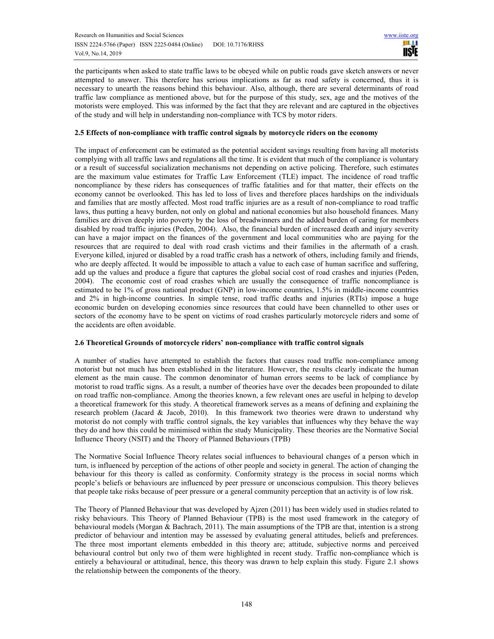the participants when asked to state traffic laws to be obeyed while on public roads gave sketch answers or never attempted to answer. This therefore has serious implications as far as road safety is concerned, thus it is necessary to unearth the reasons behind this behaviour. Also, although, there are several determinants of road traffic law compliance as mentioned above, but for the purpose of this study, sex, age and the motives of the motorists were employed. This was informed by the fact that they are relevant and are captured in the objectives of the study and will help in understanding non-compliance with TCS by motor riders.

### **2.5 Effects of non-compliance with traffic control signals by motorcycle riders on the economy**

The impact of enforcement can be estimated as the potential accident savings resulting from having all motorists complying with all traffic laws and regulations all the time. It is evident that much of the compliance is voluntary or a result of successful socialization mechanisms not depending on active policing. Therefore, such estimates are the maximum value estimates for Traffic Law Enforcement (TLE) impact. The incidence of road traffic noncompliance by these riders has consequences of traffic fatalities and for that matter, their effects on the economy cannot be overlooked. This has led to loss of lives and therefore places hardships on the individuals and families that are mostly affected. Most road traffic injuries are as a result of non-compliance to road traffic laws, thus putting a heavy burden, not only on global and national economies but also household finances. Many families are driven deeply into poverty by the loss of breadwinners and the added burden of caring for members disabled by road traffic injuries (Peden, 2004). Also, the financial burden of increased death and injury severity can have a major impact on the finances of the government and local communities who are paying for the resources that are required to deal with road crash victims and their families in the aftermath of a crash. Everyone killed, injured or disabled by a road traffic crash has a network of others, including family and friends, who are deeply affected. It would be impossible to attach a value to each case of human sacrifice and suffering, add up the values and produce a figure that captures the global social cost of road crashes and injuries (Peden, 2004). The economic cost of road crashes which are usually the consequence of traffic noncompliance is estimated to be 1% of gross national product (GNP) in low-income countries, 1.5% in middle-income countries and 2% in high-income countries. In simple tense, road traffic deaths and injuries (RTIs) impose a huge economic burden on developing economies since resources that could have been channelled to other uses or sectors of the economy have to be spent on victims of road crashes particularly motorcycle riders and some of the accidents are often avoidable.

### **2.6 Theoretical Grounds of motorcycle riders' non-compliance with traffic control signals**

A number of studies have attempted to establish the factors that causes road traffic non-compliance among motorist but not much has been established in the literature. However, the results clearly indicate the human element as the main cause. The common denominator of human errors seems to be lack of compliance by motorist to road traffic signs. As a result, a number of theories have over the decades been propounded to dilate on road traffic non-compliance. Among the theories known, a few relevant ones are useful in helping to develop a theoretical framework for this study. A theoretical framework serves as a means of defining and explaining the research problem (Jacard & Jacob, 2010). In this framework two theories were drawn to understand why motorist do not comply with traffic control signals, the key variables that influences why they behave the way they do and how this could be minimised within the study Municipality. These theories are the Normative Social Influence Theory (NSIT) and the Theory of Planned Behaviours (TPB)

The Normative Social Influence Theory relates social influences to behavioural changes of a person which in turn, is influenced by perception of the actions of other people and society in general. The action of changing the behaviour for this theory is called as conformity. Conformity strategy is the process in social norms which people's beliefs or behaviours are influenced by peer pressure or unconscious compulsion. This theory believes that people take risks because of peer pressure or a general community perception that an activity is of low risk.

The Theory of Planned Behaviour that was developed by Ajzen (2011) has been widely used in studies related to risky behaviours. This Theory of Planned Behaviour (TPB) is the most used framework in the category of behavioural models (Morgan & Bachrach, 2011). The main assumptions of the TPB are that, intention is a strong predictor of behaviour and intention may be assessed by evaluating general attitudes, beliefs and preferences. The three most important elements embedded in this theory are; attitude, subjective norms and perceived behavioural control but only two of them were highlighted in recent study. Traffic non-compliance which is entirely a behavioural or attitudinal, hence, this theory was drawn to help explain this study. Figure 2.1 shows the relationship between the components of the theory.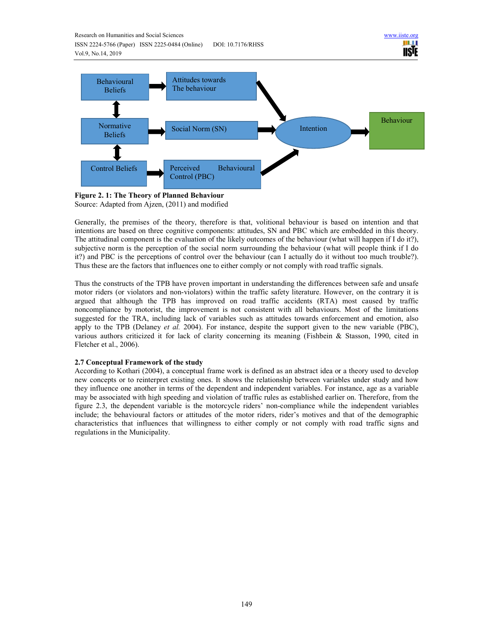



**Figure 2. 1: The Theory of Planned Behaviour**  Source: Adapted from Ajzen, (2011) and modified

Generally, the premises of the theory, therefore is that, volitional behaviour is based on intention and that intentions are based on three cognitive components: attitudes, SN and PBC which are embedded in this theory. The attitudinal component is the evaluation of the likely outcomes of the behaviour (what will happen if I do it?), subjective norm is the perception of the social norm surrounding the behaviour (what will people think if I do it?) and PBC is the perceptions of control over the behaviour (can I actually do it without too much trouble?). Thus these are the factors that influences one to either comply or not comply with road traffic signals.

Thus the constructs of the TPB have proven important in understanding the differences between safe and unsafe motor riders (or violators and non-violators) within the traffic safety literature. However, on the contrary it is argued that although the TPB has improved on road traffic accidents (RTA) most caused by traffic noncompliance by motorist, the improvement is not consistent with all behaviours. Most of the limitations suggested for the TRA, including lack of variables such as attitudes towards enforcement and emotion, also apply to the TPB (Delaney *et al.* 2004). For instance, despite the support given to the new variable (PBC), various authors criticized it for lack of clarity concerning its meaning (Fishbein & Stasson, 1990, cited in Fletcher et al., 2006).

# **2.7 Conceptual Framework of the study**

According to Kothari (2004), a conceptual frame work is defined as an abstract idea or a theory used to develop new concepts or to reinterpret existing ones. It shows the relationship between variables under study and how they influence one another in terms of the dependent and independent variables. For instance, age as a variable may be associated with high speeding and violation of traffic rules as established earlier on. Therefore, from the figure 2.3, the dependent variable is the motorcycle riders' non-compliance while the independent variables include; the behavioural factors or attitudes of the motor riders, rider's motives and that of the demographic characteristics that influences that willingness to either comply or not comply with road traffic signs and regulations in the Municipality.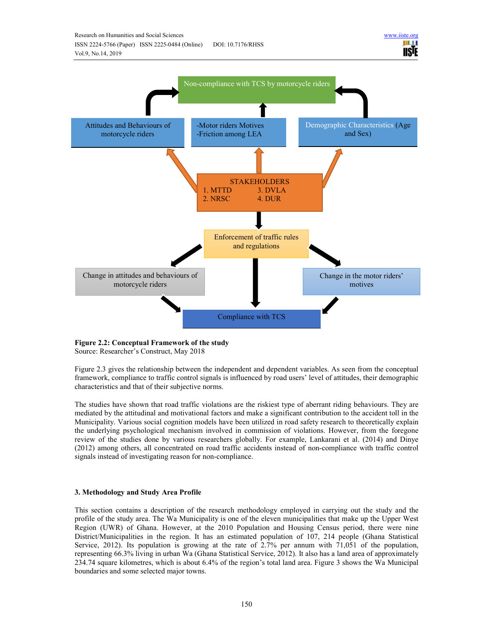

**Figure 2.2: Conceptual Framework of the study** 

Source: Researcher's Construct, May 2018

Figure 2.3 gives the relationship between the independent and dependent variables. As seen from the conceptual framework, compliance to traffic control signals is influenced by road users' level of attitudes, their demographic characteristics and that of their subjective norms.

The studies have shown that road traffic violations are the riskiest type of aberrant riding behaviours. They are mediated by the attitudinal and motivational factors and make a significant contribution to the accident toll in the Municipality. Various social cognition models have been utilized in road safety research to theoretically explain the underlying psychological mechanism involved in commission of violations. However, from the foregone review of the studies done by various researchers globally. For example, Lankarani et al. (2014) and Dinye (2012) among others, all concentrated on road traffic accidents instead of non-compliance with traffic control signals instead of investigating reason for non-compliance.

# **3. Methodology and Study Area Profile**

This section contains a description of the research methodology employed in carrying out the study and the profile of the study area. The Wa Municipality is one of the eleven municipalities that make up the Upper West Region (UWR) of Ghana. However, at the 2010 Population and Housing Census period, there were nine District/Municipalities in the region. It has an estimated population of 107, 214 people (Ghana Statistical Service, 2012). Its population is growing at the rate of 2.7% per annum with 71,051 of the population, representing 66.3% living in urban Wa (Ghana Statistical Service, 2012). It also has a land area of approximately 234.74 square kilometres, which is about 6.4% of the region's total land area. Figure 3 shows the Wa Municipal boundaries and some selected major towns.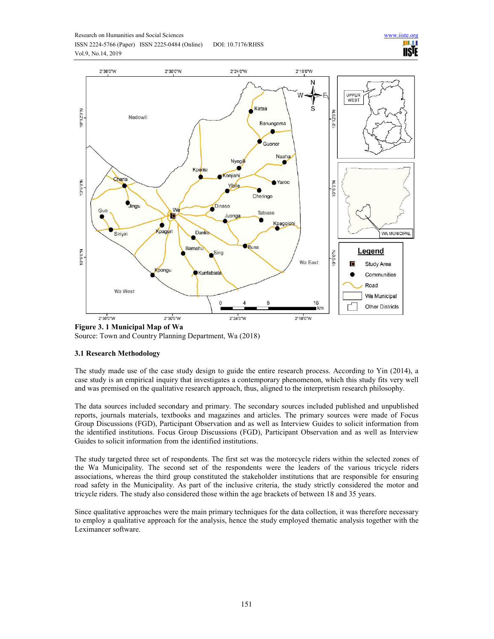![](_page_6_Figure_0.jpeg)

![](_page_6_Figure_1.jpeg)

![](_page_6_Figure_2.jpeg)

**Figure 3. 1 Municipal Map of Wa**  Source: Town and Country Planning Department, Wa (2018)

# **3.1 Research Methodology**

The study made use of the case study design to guide the entire research process. According to Yin (2014), a case study is an empirical inquiry that investigates a contemporary phenomenon, which this study fits very well and was premised on the qualitative research approach, thus, aligned to the interpretism research philosophy.

The data sources included secondary and primary. The secondary sources included published and unpublished reports, journals materials, textbooks and magazines and articles. The primary sources were made of Focus Group Discussions (FGD), Participant Observation and as well as Interview Guides to solicit information from the identified institutions. Focus Group Discussions (FGD), Participant Observation and as well as Interview Guides to solicit information from the identified institutions.

The study targeted three set of respondents. The first set was the motorcycle riders within the selected zones of the Wa Municipality. The second set of the respondents were the leaders of the various tricycle riders associations, whereas the third group constituted the stakeholder institutions that are responsible for ensuring road safety in the Municipality. As part of the inclusive criteria, the study strictly considered the motor and tricycle riders. The study also considered those within the age brackets of between 18 and 35 years.

Since qualitative approaches were the main primary techniques for the data collection, it was therefore necessary to employ a qualitative approach for the analysis, hence the study employed thematic analysis together with the Leximancer software.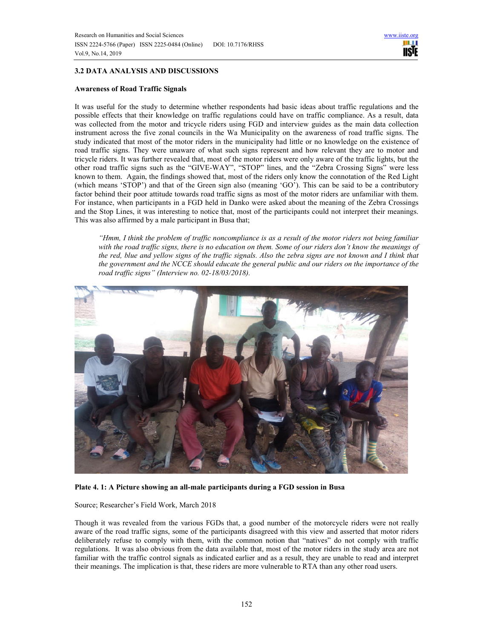# **3.2 DATA ANALYSIS AND DISCUSSIONS**

### **Awareness of Road Traffic Signals**

It was useful for the study to determine whether respondents had basic ideas about traffic regulations and the possible effects that their knowledge on traffic regulations could have on traffic compliance. As a result, data was collected from the motor and tricycle riders using FGD and interview guides as the main data collection instrument across the five zonal councils in the Wa Municipality on the awareness of road traffic signs. The study indicated that most of the motor riders in the municipality had little or no knowledge on the existence of road traffic signs. They were unaware of what such signs represent and how relevant they are to motor and tricycle riders. It was further revealed that, most of the motor riders were only aware of the traffic lights, but the other road traffic signs such as the "GIVE-WAY", "STOP" lines, and the "Zebra Crossing Signs" were less known to them. Again, the findings showed that, most of the riders only know the connotation of the Red Light (which means 'STOP') and that of the Green sign also (meaning 'GO'). This can be said to be a contributory factor behind their poor attitude towards road traffic signs as most of the motor riders are unfamiliar with them. For instance, when participants in a FGD held in Danko were asked about the meaning of the Zebra Crossings and the Stop Lines, it was interesting to notice that, most of the participants could not interpret their meanings. This was also affirmed by a male participant in Busa that;

*"Hmm, I think the problem of traffic noncompliance is as a result of the motor riders not being familiar with the road traffic signs, there is no education on them. Some of our riders don't know the meanings of the red, blue and yellow signs of the traffic signals. Also the zebra signs are not known and I think that the government and the NCCE should educate the general public and our riders on the importance of the road traffic signs" (Interview no. 02-18/03/2018).* 

![](_page_7_Picture_6.jpeg)

**Plate 4. 1: A Picture showing an all-male participants during a FGD session in Busa** 

Source; Researcher's Field Work, March 2018

Though it was revealed from the various FGDs that, a good number of the motorcycle riders were not really aware of the road traffic signs, some of the participants disagreed with this view and asserted that motor riders deliberately refuse to comply with them, with the common notion that "natives" do not comply with traffic regulations. It was also obvious from the data available that, most of the motor riders in the study area are not familiar with the traffic control signals as indicated earlier and as a result, they are unable to read and interpret their meanings. The implication is that, these riders are more vulnerable to RTA than any other road users.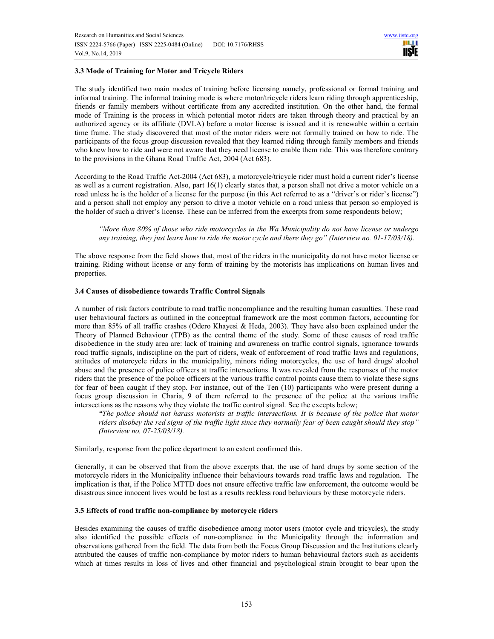# **3.3 Mode of Training for Motor and Tricycle Riders**

The study identified two main modes of training before licensing namely, professional or formal training and informal training. The informal training mode is where motor/tricycle riders learn riding through apprenticeship, friends or family members without certificate from any accredited institution. On the other hand, the formal mode of Training is the process in which potential motor riders are taken through theory and practical by an authorized agency or its affiliate (DVLA) before a motor license is issued and it is renewable within a certain time frame. The study discovered that most of the motor riders were not formally trained on how to ride. The participants of the focus group discussion revealed that they learned riding through family members and friends who knew how to ride and were not aware that they need license to enable them ride. This was therefore contrary to the provisions in the Ghana Road Traffic Act, 2004 (Act 683).

According to the Road Traffic Act-2004 (Act 683), a motorcycle/tricycle rider must hold a current rider's license as well as a current registration. Also, part 16(1) clearly states that, a person shall not drive a motor vehicle on a road unless he is the holder of a license for the purpose (in this Act referred to as a "driver's or rider's license") and a person shall not employ any person to drive a motor vehicle on a road unless that person so employed is the holder of such a driver's license. These can be inferred from the excerpts from some respondents below;

*"More than 80% of those who ride motorcycles in the Wa Municipality do not have license or undergo any training, they just learn how to ride the motor cycle and there they go" (Interview no. 01-17/03/18).* 

The above response from the field shows that, most of the riders in the municipality do not have motor license or training. Riding without license or any form of training by the motorists has implications on human lives and properties.

# **3.4 Causes of disobedience towards Traffic Control Signals**

A number of risk factors contribute to road traffic noncompliance and the resulting human casualties. These road user behavioural factors as outlined in the conceptual framework are the most common factors, accounting for more than 85% of all traffic crashes (Odero Khayesi & Heda, 2003). They have also been explained under the Theory of Planned Behaviour (TPB) as the central theme of the study. Some of these causes of road traffic disobedience in the study area are: lack of training and awareness on traffic control signals, ignorance towards road traffic signals, indiscipline on the part of riders, weak of enforcement of road traffic laws and regulations, attitudes of motorcycle riders in the municipality, minors riding motorcycles, the use of hard drugs/ alcohol abuse and the presence of police officers at traffic intersections. It was revealed from the responses of the motor riders that the presence of the police officers at the various traffic control points cause them to violate these signs for fear of been caught if they stop. For instance, out of the Ten (10) participants who were present during a focus group discussion in Charia, 9 of them referred to the presence of the police at the various traffic intersections as the reasons why they violate the traffic control signal. See the excepts below;

*"The police should not harass motorists at traffic intersections. It is because of the police that motor riders disobey the red signs of the traffic light since they normally fear of been caught should they stop" (Interview no, 07-25/03/18).* 

Similarly, response from the police department to an extent confirmed this.

Generally, it can be observed that from the above excerpts that, the use of hard drugs by some section of the motorcycle riders in the Municipality influence their behaviours towards road traffic laws and regulation. The implication is that, if the Police MTTD does not ensure effective traffic law enforcement, the outcome would be disastrous since innocent lives would be lost as a results reckless road behaviours by these motorcycle riders.

### **3.5 Effects of road traffic non-compliance by motorcycle riders**

Besides examining the causes of traffic disobedience among motor users (motor cycle and tricycles), the study also identified the possible effects of non-compliance in the Municipality through the information and observations gathered from the field. The data from both the Focus Group Discussion and the Institutions clearly attributed the causes of traffic non-compliance by motor riders to human behavioural factors such as accidents which at times results in loss of lives and other financial and psychological strain brought to bear upon the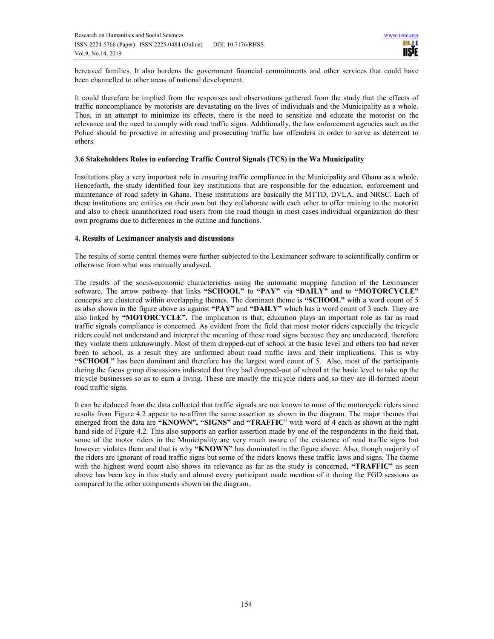bereaved families. It also burdens the government financial commitments and other services that could have been channelled to other areas of national development.

It could therefore be implied from the responses and observations gathered from the study that the effects of traffic noncompliance by motorists are devastating on the lives of individuals and the Municipality as a whole. Thus, in an attempt to minimize its effects, there is the need to sensitize and educate the motorist on the relevance and the need to comply with road traffic signs. Additionally, the law enforcement agencies such as the Police should be proactive in arresting and prosecuting traffic law offenders in order to serve as deterrent to others.

### **3.6 Stakeholders Roles in enforcing Traffic Control Signals (TCS) in the Wa Municipality**

Institutions play a very important role in ensuring traffic compliance in the Municipality and Ghana as a whole. Henceforth, the study identified four key institutions that are responsible for the education, enforcement and maintenance of road safety in Ghana. These institutions are basically the MTTD, DVLA, and NRSC. Each of these institutions are entities on their own but they collaborate with each other to offer training to the motorist and also to check unauthorized road users from the road though in most cases individual organization do their own programs due to differences in the outline and functions.

### **4. Results of Leximancer analysis and discussions**

The results of some central themes were further subjected to the Leximancer software to scientifically confirm or otherwise from what was manually analysed.

The results of the socio-economic characteristics using the automatic mapping function of the Leximancer software. The arrow pathway that links **"SCHOOL"** to **"PAY"** via **"DAILY"** and to **"MOTORCYCLE"** concepts are clustered within overlapping themes. The dominant theme is **"SCHOOL"** with a word count of 5 as also shown in the figure above as against **"PAY"** and **"DAILY"** which has a word count of 3 each. They are also linked by **"MOTORCYCLE".** The implication is that; education plays an important role as far as road traffic signals compliance is concerned. As evident from the field that most motor riders especially the tricycle riders could not understand and interpret the meaning of these road signs because they are uneducated, therefore they violate them unknowingly. Most of them dropped-out of school at the basic level and others too had never been to school, as a result they are unformed about road traffic laws and their implications. This is why **"SCHOOL"** has been dominant and therefore has the largest word count of 5. Also, most of the participants during the focus group discussions indicated that they had dropped-out of school at the basic level to take up the tricycle businesses so as to earn a living. These are mostly the tricycle riders and so they are ill-formed about road traffic signs.

It can be deduced from the data collected that traffic signals are not known to most of the motorcycle riders since results from Figure 4.2 appear to re-affirm the same assertion as shown in the diagram. The major themes that emerged from the data are **"KNOWN", "SIGNS"** and **"TRAFFIC**" with word of 4 each as shown at the right hand side of Figure 4.2. This also supports an earlier assertion made by one of the respondents in the field that, some of the motor riders in the Municipality are very much aware of the existence of road traffic signs but however violates them and that is why **"KNOWN"** has dominated in the figure above. Also, though majority of the riders are ignorant of road traffic signs but some of the riders knows these traffic laws and signs. The theme with the highest word count also shows its relevance as far as the study is concerned, **"TRAFFIC"** as seen above has been key in this study and almost every participant made mention of it during the FGD sessions as compared to the other components shown on the diagram.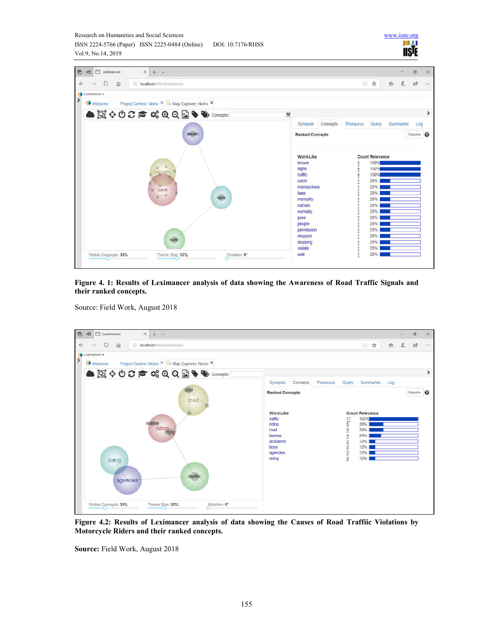![](_page_10_Picture_1.jpeg)

ш **IISTE** 

**Figure 4. 1: Results of Leximancer analysis of data showing the Awareness of Road Traffic Signals and their ranked concepts.** 

Source: Field Work, August 2018

![](_page_10_Figure_4.jpeg)

**Figure 4.2: Results of Leximancer analysis of data showing the Causes of Road Traffiic Violations by Motorcycle Riders and their ranked concepts.** 

**Source:** Field Work, August 2018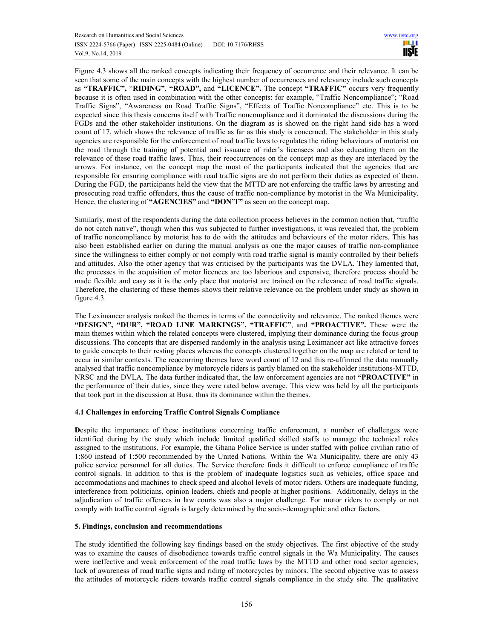Figure 4.3 shows all the ranked concepts indicating their frequency of occurrence and their relevance. It can be seen that some of the main concepts with the highest number of occurrences and relevancy include such concepts as **"TRAFFIC",** "**RIDING"**, **"ROAD",** and **"LICENCE".** The concept **"TRAFFIC"** occurs very frequently because it is often used in combination with the other concepts: for example, "Traffic Noncompliance"; "Road Traffic Signs", "Awareness on Road Traffic Signs", "Effects of Traffic Noncompliance" etc. This is to be expected since this thesis concerns itself with Traffic noncompliance and it dominated the discussions during the FGDs and the other stakeholder institutions. On the diagram as is showed on the right hand side has a word count of 17, which shows the relevance of traffic as far as this study is concerned. The stakeholder in this study agencies are responsible for the enforcement of road traffic laws to regulates the riding behaviours of motorist on the road through the training of potential and issuance of rider's licensees and also educating them on the relevance of these road traffic laws. Thus, their reoccurrences on the concept map as they are interlaced by the arrows. For instance, on the concept map the most of the participants indicated that the agencies that are responsible for ensuring compliance with road traffic signs are do not perform their duties as expected of them. During the FGD, the participants held the view that the MTTD are not enforcing the traffic laws by arresting and prosecuting road traffic offenders, thus the cause of traffic non-compliance by motorist in the Wa Municipality. Hence, the clustering of **"AGENCIES"** and **"DON'T"** as seen on the concept map.

Similarly, most of the respondents during the data collection process believes in the common notion that, "traffic do not catch native", though when this was subjected to further investigations, it was revealed that, the problem of traffic noncompliance by motorist has to do with the attitudes and behaviours of the motor riders. This has also been established earlier on during the manual analysis as one the major causes of traffic non-compliance since the willingness to either comply or not comply with road traffic signal is mainly controlled by their beliefs and attitudes. Also the other agency that was criticised by the participants was the DVLA. They lamented that, the processes in the acquisition of motor licences are too laborious and expensive, therefore process should be made flexible and easy as it is the only place that motorist are trained on the relevance of road traffic signals. Therefore, the clustering of these themes shows their relative relevance on the problem under study as shown in figure 4.3.

The Leximancer analysis ranked the themes in terms of the connectivity and relevance. The ranked themes were **"DESIGN", "DUR", "ROAD LINE MARKINGS", "TRAFFIC"**, and **"PROACTIVE".** These were the main themes within which the related concepts were clustered, implying their dominance during the focus group discussions. The concepts that are dispersed randomly in the analysis using Leximancer act like attractive forces to guide concepts to their resting places whereas the concepts clustered together on the map are related or tend to occur in similar contexts. The reoccurring themes have word count of 12 and this re-affirmed the data manually analysed that traffic noncompliance by motorcycle riders is partly blamed on the stakeholder institutions-MTTD, NRSC and the DVLA. The data further indicated that, the law enforcement agencies are not **"PROACTIVE"** in the performance of their duties, since they were rated below average. This view was held by all the participants that took part in the discussion at Busa, thus its dominance within the themes.

# **4.1 Challenges in enforcing Traffic Control Signals Compliance**

**D**espite the importance of these institutions concerning traffic enforcement, a number of challenges were identified during by the study which include limited qualified skilled staffs to manage the technical roles assigned to the institutions. For example, the Ghana Police Service is under staffed with police civilian ratio of 1:860 instead of 1:500 recommended by the United Nations. Within the Wa Municipality, there are only 43 police service personnel for all duties. The Service therefore finds it difficult to enforce compliance of traffic control signals. In addition to this is the problem of inadequate logistics such as vehicles, office space and accommodations and machines to check speed and alcohol levels of motor riders. Others are inadequate funding, interference from politicians, opinion leaders, chiefs and people at higher positions. Additionally, delays in the adjudication of traffic offences in law courts was also a major challenge. For motor riders to comply or not comply with traffic control signals is largely determined by the socio-demographic and other factors.

# **5. Findings, conclusion and recommendations**

The study identified the following key findings based on the study objectives. The first objective of the study was to examine the causes of disobedience towards traffic control signals in the Wa Municipality. The causes were ineffective and weak enforcement of the road traffic laws by the MTTD and other road sector agencies, lack of awareness of road traffic signs and riding of motorcycles by minors. The second objective was to assess the attitudes of motorcycle riders towards traffic control signals compliance in the study site. The qualitative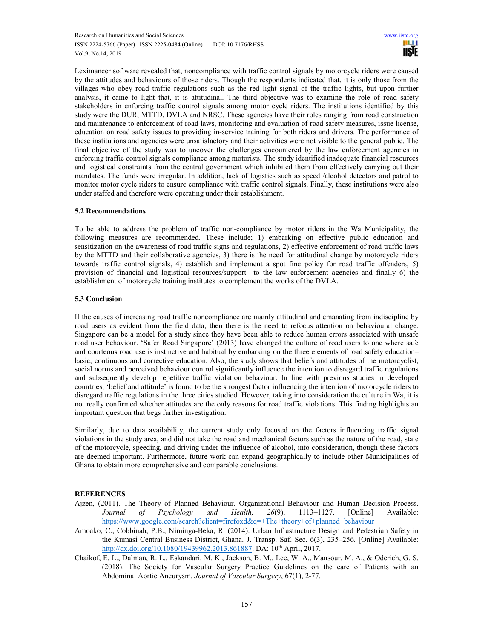Leximancer software revealed that, noncompliance with traffic control signals by motorcycle riders were caused by the attitudes and behaviours of those riders. Though the respondents indicated that, it is only those from the villages who obey road traffic regulations such as the red light signal of the traffic lights, but upon further analysis, it came to light that, it is attitudinal. The third objective was to examine the role of road safety stakeholders in enforcing traffic control signals among motor cycle riders. The institutions identified by this study were the DUR, MTTD, DVLA and NRSC. These agencies have their roles ranging from road construction and maintenance to enforcement of road laws, monitoring and evaluation of road safety measures, issue license, education on road safety issues to providing in-service training for both riders and drivers. The performance of these institutions and agencies were unsatisfactory and their activities were not visible to the general public. The final objective of the study was to uncover the challenges encountered by the law enforcement agencies in enforcing traffic control signals compliance among motorists. The study identified inadequate financial resources and logistical constraints from the central government which inhibited them from effectively carrying out their mandates. The funds were irregular. In addition, lack of logistics such as speed /alcohol detectors and patrol to monitor motor cycle riders to ensure compliance with traffic control signals. Finally, these institutions were also under staffed and therefore were operating under their establishment.

# **5.2 Recommendations**

To be able to address the problem of traffic non-compliance by motor riders in the Wa Municipality, the following measures are recommended. These include; 1) embarking on effective public education and sensitization on the awareness of road traffic signs and regulations, 2) effective enforcement of road traffic laws by the MTTD and their collaborative agencies, 3) there is the need for attitudinal change by motorcycle riders towards traffic control signals, 4) establish and implement a spot fine policy for road traffic offenders, 5) provision of financial and logistical resources/support to the law enforcement agencies and finally 6) the establishment of motorcycle training institutes to complement the works of the DVLA.

### **5.3 Conclusion**

If the causes of increasing road traffic noncompliance are mainly attitudinal and emanating from indiscipline by road users as evident from the field data, then there is the need to refocus attention on behavioural change. Singapore can be a model for a study since they have been able to reduce human errors associated with unsafe road user behaviour. 'Safer Road Singapore' (2013) have changed the culture of road users to one where safe and courteous road use is instinctive and habitual by embarking on the three elements of road safety education– basic, continuous and corrective education. Also, the study shows that beliefs and attitudes of the motorcyclist, social norms and perceived behaviour control significantly influence the intention to disregard traffic regulations and subsequently develop repetitive traffic violation behaviour. In line with previous studies in developed countries, 'belief and attitude' is found to be the strongest factor influencing the intention of motorcycle riders to disregard traffic regulations in the three cities studied. However, taking into consideration the culture in Wa, it is not really confirmed whether attitudes are the only reasons for road traffic violations. This finding highlights an important question that begs further investigation.

Similarly, due to data availability, the current study only focused on the factors influencing traffic signal violations in the study area, and did not take the road and mechanical factors such as the nature of the road, state of the motorcycle, speeding, and driving under the influence of alcohol, into consideration, though these factors are deemed important. Furthermore, future work can expand geographically to include other Municipalities of Ghana to obtain more comprehensive and comparable conclusions.

# **REFERENCES**

- Ajzen, (2011). The Theory of Planned Behaviour. Organizational Behaviour and Human Decision Process. *Journal of Psychology and Health, 26*(9), 1113–1127. [Online] Available: https://www.google.com/search?client=firefoxd&q=+The+theory+of+planned+behaviour
- Amoako, C., Cobbinah, P.B., Niminga-Beka, R. (2014). Urban Infrastructure Design and Pedestrian Safety in the Kumasi Central Business District, Ghana. J. Transp. Saf. Sec. 6(3), 235–256. [Online] Available: http://dx.doi.org/10.1080/19439962.2013.861887. DA: 10<sup>th</sup> April, 2017.
- Chaikof, E. L., Dalman, R. L., Eskandari, M. K., Jackson, B. M., Lee, W. A., Mansour, M. A., & Oderich, G. S. (2018). The Society for Vascular Surgery Practice Guidelines on the care of Patients with an Abdominal Aortic Aneurysm. *Journal of Vascular Surgery*, 67(1), 2-77.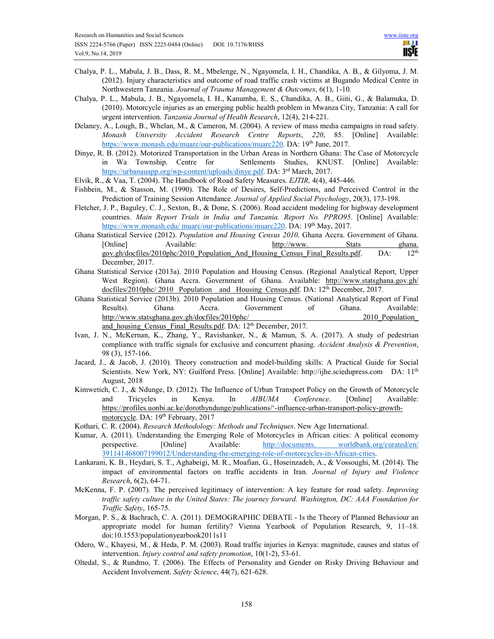- Chalya, P. L., Mabula, J. B., Dass, R. M., Mbelenge, N., Ngayomela, I. H., Chandika, A. B., & Gilyoma, J. M. (2012). Injury characteristics and outcome of road traffic crash victims at Bugando Medical Centre in Northwestern Tanzania. *Journal of Trauma Management & Outcomes*, 6(1), 1-10.
- Chalya, P. L., Mabula, J. B., Ngayomela, I. H., Kanumba, E. S., Chandika, A. B., Giiti, G., & Balamuka, D. (2010). Motorcycle injuries as an emerging public health problem in Mwanza City, Tanzania: A call for urgent intervention. *Tanzania Journal of Health Research*, 12(4), 214-221.
- Delaney, A., Lough, B., Whelan, M., & Cameron, M. (2004). A review of mass media campaigns in road safety. *Monash University Accident Research Centre Reports*, *220*, 85. [Online] Available: https://www.monash.edu/muarc/our-publications/muarc220. DA: 19th June, 2017.
- Dinye, R. B. (2012). Motorized Transportation in the Urban Areas in Northern Ghana: The Case of Motorcycle in Wa Township. Centre for Settlements Studies, KNUST. [Online] Available: https://urbanauapp.org/wp-content/uploads/dinye.pdf. DA: 3rd March, 2017.
- Elvik, R., & Vaa, T. (2004). The Handbook of Road Safety Measures. *EJTIR,* 4(4), 445-446.
- Fishbein, M., & Stasson, M. (1990). The Role of Desires, Self‐Predictions, and Perceived Control in the Prediction of Training Session Attendance. *Journal of Applied Social Psychology*, 20(3), 173-198.
- Fletcher, J. P., Baguley, C. J., Sexton, B., & Done, S. (2006). Road accident modeling for highway development countries. *Main Report Trials in India and Tanzania. Report No. PPRO95*. [Online] Available: https://www.monash.edu/ muarc/our-publications/muarc220. DA: 19<sup>th</sup> May, 2017.
- Ghana Statistical Service (2012). *Population and Housing Census 2010*. Ghana Accra. Government of Ghana. [Online] Available: http://www. Stats ghana. gov.gh/docfiles/2010phc/2010 Population And Housing Census Final Results.pdf. DA: 12<sup>th</sup> December, 2017.
- Ghana Statistical Service (2013a). 2010 Population and Housing Census. (Regional Analytical Report, Upper West Region). Ghana Accra. Government of Ghana. Available: http://www.statsghana.gov.gh/  $docfiles/2010phc/ 2010$  Population and Housing Census.pdf</u>. DA:  $12<sup>th</sup>$  December, 2017.
- Ghana Statistical Service (2013b). 2010 Population and Housing Census. (National Analytical Report of Final Results). Ghana Accra. Government of Ghana. Available: http://www.statsghana.gov.gh/docfiles/2010phc/ 2010 Population and housing Census Final Results.pdf. DA: 12<sup>th</sup> December, 2017.
- Ivan, J. N., McKernan, K., Zhang, Y., Ravishanker, N., & Mamun, S. A. (2017). A study of pedestrian compliance with traffic signals for exclusive and concurrent phasing. *Accident Analysis & Prevention*, 98 (3), 157-166.
- Jacard, J., & Jacob, J. (2010). Theory construction and model-building skills: A Practical Guide for Social Scientists. New York, NY: Guilford Press. [Online] Available: http://ijhe.sciedupress.com DA: 11th August, 2018
- Kimwetich, C. J., & Ndunge, D. (2012). The Influence of Urban Transport Policy on the Growth of Motorcycle and Tricycles in Kenya. In *AIBUMA Conference*. [Online] Available: https://profiles.uonbi.ac.ke/dorothyndunge/publications/'-influence-urban-transport-policy-growthmotorcycle. DA: 19<sup>th</sup> February, 2017
- Kothari, C. R. (2004). *Research Methodology: Methods and Techniques*. New Age International.
- Kumar, A. (2011). Understanding the Emerging Role of Motorcycles in African cities: A political economy perspective. [Online] Available: http://documents. worldbank.org/curated/en/ 391141468007199012/Understanding-the-emerging-role-of-motorcycles-in-African-cities.
- Lankarani, K. B., Heydari, S. T., Aghabeigi, M. R., Moafian, G., Hoseinzadeh, A., & Vossoughi, M. (2014). The impact of environmental factors on traffic accidents in Iran. *Journal of Injury and Violence Research*, 6(2), 64-71.
- McKenna, F. P. (2007). The perceived legitimacy of intervention: A key feature for road safety. *Improving traffic safety culture in the United States: The journey forward. Washington, DC: AAA Foundation for Traffic Safety*, 165-75.
- Morgan, P. S., & Bachrach, C. A. (2011). DEMOGRAPHIC DEBATE Is the Theory of Planned Behaviour an appropriate model for human fertility? Vienna Yearbook of Population Research, 9, 11–18. doi:10.1553/populationyearbook2011s11
- Odero, W., Khayesi, M., & Heda, P. M. (2003). Road traffic injuries in Kenya: magnitude, causes and status of intervention. *Injury control and safety promotion*, 10(1-2), 53-61.
- Oltedal, S., & Rundmo, T. (2006). The Effects of Personality and Gender on Risky Driving Behaviour and Accident Involvement. *Safety Science*, 44(7), 621-628.